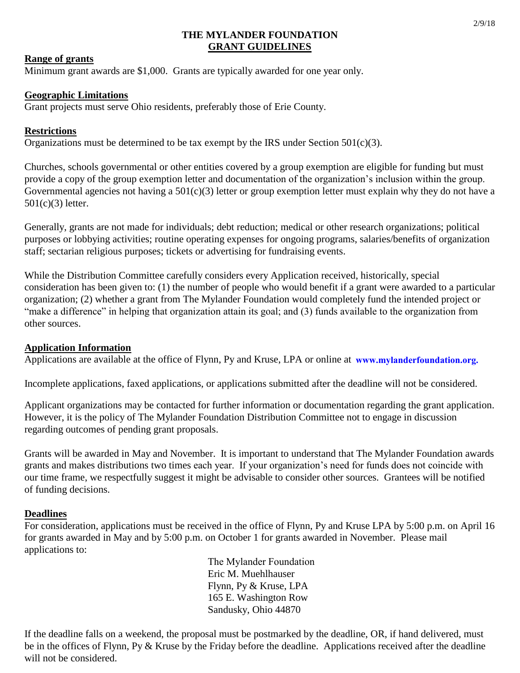#### **THE MYLANDER FOUNDATION GRANT GUIDELINES**

### **Range of grants**

Minimum grant awards are \$1,000. Grants are typically awarded for one year only.

### **Geographic Limitations**

Grant projects must serve Ohio residents, preferably those of Erie County.

### **Restrictions**

Organizations must be determined to be tax exempt by the IRS under Section  $501(c)(3)$ .

Churches, schools governmental or other entities covered by a group exemption are eligible for funding but must provide a copy of the group exemption letter and documentation of the organization's inclusion within the group. Governmental agencies not having a  $501(c)(3)$  letter or group exemption letter must explain why they do not have a 501(c)(3) letter.

Generally, grants are not made for individuals; debt reduction; medical or other research organizations; political purposes or lobbying activities; routine operating expenses for ongoing programs, salaries/benefits of organization staff; sectarian religious purposes; tickets or advertising for fundraising events.

While the Distribution Committee carefully considers every Application received, historically, special consideration has been given to: (1) the number of people who would benefit if a grant were awarded to a particular organization; (2) whether a grant from The Mylander Foundation would completely fund the intended project or "make a difference" in helping that organization attain its goal; and (3) funds available to the organization from other sources.

# **Application Information**

Applications are available at the office of Flynn, Py and Kruse, LPA or online at www.mylanderfoundation.org.

Incomplete applications, faxed applications, or applications submitted after the deadline will not be considered.

Applicant organizations may be contacted for further information or documentation regarding the grant application. However, it is the policy of The Mylander Foundation Distribution Committee not to engage in discussion regarding outcomes of pending grant proposals.

Grants will be awarded in May and November. It is important to understand that The Mylander Foundation awards grants and makes distributions two times each year. If your organization's need for funds does not coincide with our time frame, we respectfully suggest it might be advisable to consider other sources. Grantees will be notified of funding decisions.

#### **Deadlines**

For consideration, applications must be received in the office of Flynn, Py and Kruse LPA by 5:00 p.m. on April 16 for grants awarded in May and by 5:00 p.m. on October 1 for grants awarded in November. Please mail applications to:

> The Mylander Foundation Eric M. Muehlhauser Flynn, Py & Kruse, LPA 165 E. Washington Row Sandusky, Ohio 44870

If the deadline falls on a weekend, the proposal must be postmarked by the deadline, OR, if hand delivered, must be in the offices of Flynn, Py & Kruse by the Friday before the deadline. Applications received after the deadline will not be considered.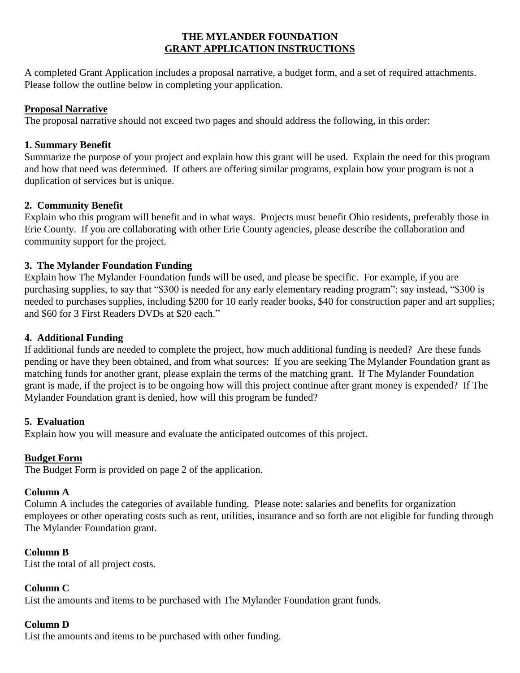# **THE MYLANDER FOUNDATION GRANT APPLICATION INSTRUCTIONS**

A completed Grant Application includes a proposal narrative, a budget form, and a set of required attachments. Please follow the outline below in completing your application.

# **Proposal Narrative**

The proposal narrative should not exceed two pages and should address the following, in this order:

# **1. Summary Benefit**

Summarize the purpose of your project and explain how this grant will be used. Explain the need for this program and how that need was determined. If others are offering similar programs, explain how your program is not a duplication of services but is unique.

# **2. Community Benefit**

Explain who this program will benefit and in what ways. Projects must benefit Ohio residents, preferably those in Erie County. If you are collaborating with other Erie County agencies, please describe the collaboration and community support for the project.

# **3. The Mylander Foundation Funding**

Explain how The Mylander Foundation funds will be used, and please be specific. For example, if you are purchasing supplies, to say that "\$300 is needed for any early elementary reading program"; say instead, "\$300 is needed to purchases supplies, including \$200 for 10 early reader books, \$40 for construction paper and art supplies; and \$60 for 3 First Readers DVDs at \$20 each."

### **4. Additional Funding**

If additional funds are needed to complete the project, how much additional funding is needed? Are these funds pending or have they been obtained, and from what sources: If you are seeking The Mylander Foundation grant as matching funds for another grant, please explain the terms of the matching grant. If The Mylander Foundation grant is made, if the project is to be ongoing how will this project continue after grant money is expended? If The Mylander Foundation grant is denied, how will this program be funded?

#### **5. Evaluation**

Explain how you will measure and evaluate the anticipated outcomes of this project.

# **Budget Form**

The Budget Form is provided on page 2 of the application.

#### **Column A**

Column A includes the categories of available funding. Please note: salaries and benefits for organization employees or other operating costs such as rent, utilities, insurance and so forth are not eligible for funding through The Mylander Foundation grant.

#### **Column B**

List the total of all project costs.

#### **Column C**

List the amounts and items to be purchased with The Mylander Foundation grant funds.

# **Column D**

List the amounts and items to be purchased with other funding.